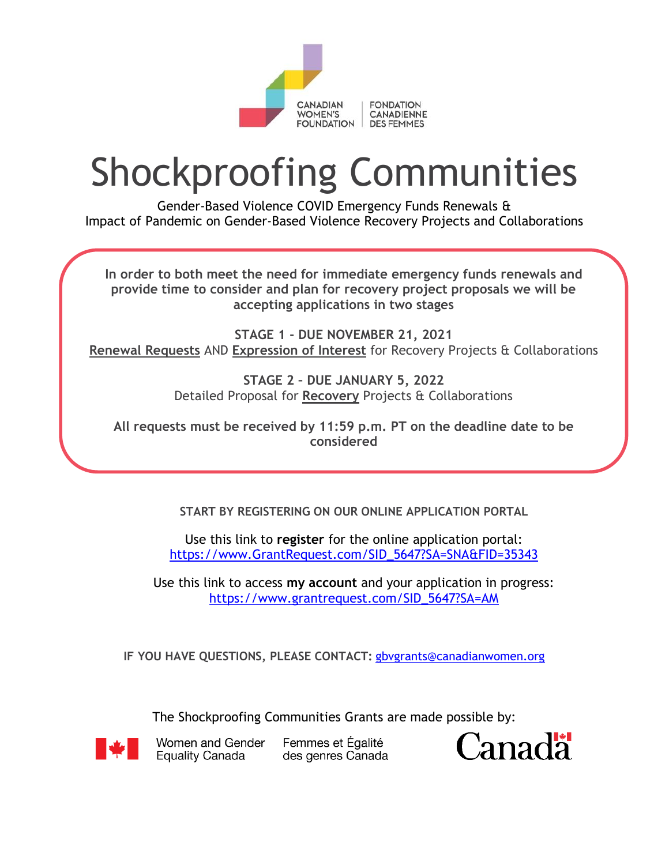

# Shockproofing Communities

Gender-Based Violence COVID Emergency Funds Renewals & Impact of Pandemic on Gender-Based Violence Recovery Projects and Collaborations

**In order to both meet the need for immediate emergency funds renewals and provide time to consider and plan for recovery project proposals we will be accepting applications in two stages** 

**STAGE 1 - DUE NOVEMBER 21, 2021 Renewal Requests** AND **Expression of Interest** for Recovery Projects & Collaborations

> **STAGE 2 – DUE JANUARY 5, 2022**  Detailed Proposal for **Recovery** Projects & Collaborations

**All requests must be received by 11:59 p.m. PT on the deadline date to be considered** 

**START BY REGISTERING ON OUR ONLINE APPLICATION PORTAL** 

Use this link to **register** for the online application portal: [https://www.GrantRequest.com/SID\\_5647?SA=SNA&FID=35343](https://www.grantrequest.com/SID_5647?SA=SNA&FID=35343) 

Use this link to access **my account** and your application in progress: [https://www.grantrequest.com/SID\\_5647?SA=AM](https://www.grantrequest.com/SID_5647?SA=AM) 

**IF YOU HAVE QUESTIONS, PLEASE CONTACT:** [gbvgrants@canadianwomen.org](mailto:gbvgrants@canadianwomen.org)

The Shockproofing Communities Grants are made possible by:



Women and Gender **Equality Canada** 

Femmes et Égalité des genres Canada

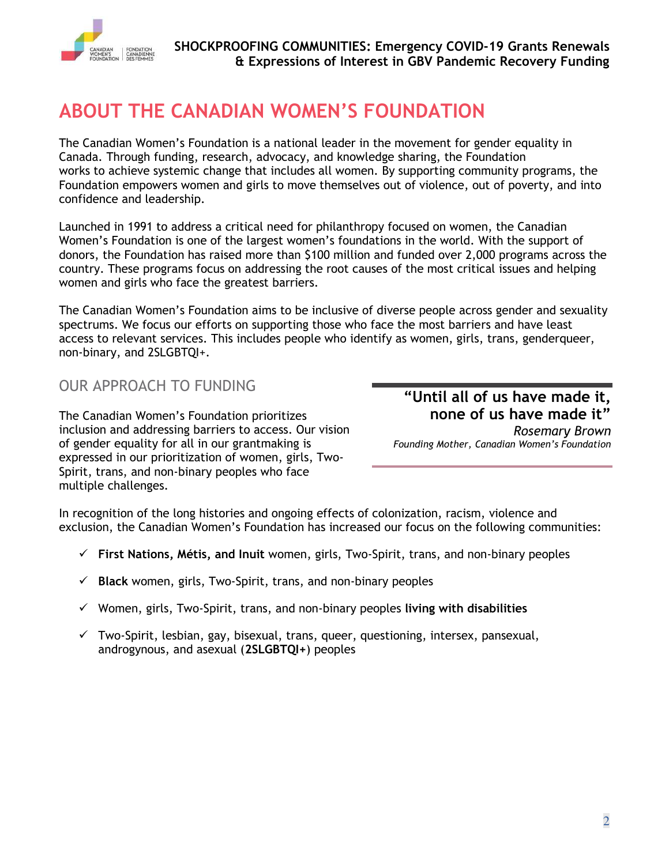

# **ABOUT THE CANADIAN WOMEN'S FOUNDATION**

The Canadian Women's Foundation is a national leader in the movement for gender equality in Canada. Through funding, research, advocacy, and knowledge sharing, the Foundation works to achieve systemic change that includes all women. By supporting community programs, the Foundation empowers women and girls to move themselves out of violence, out of poverty, and into confidence and leadership.

Launched in 1991 to address a critical need for philanthropy focused on women, the Canadian Women's Foundation is one of the largest women's foundations in the world. With the support of donors, the Foundation has raised more than \$100 million and funded over 2,000 programs across the country. These programs focus on addressing the root causes of the most critical issues and helping women and girls who face the greatest barriers.

The Canadian Women's Foundation aims to be inclusive of diverse people across gender and sexuality spectrums. We focus our efforts on supporting those who face the most barriers and have least access to relevant services. This includes people who identify as women, girls, trans, genderqueer, non-binary, and 2SLGBTQI+.

#### OUR APPROACH TO FUNDING

The Canadian Women's Foundation prioritizes inclusion and addressing barriers to access. Our vision of gender equality for all in our grantmaking is expressed in our prioritization of women, girls, Two-Spirit, trans, and non-binary peoples who face multiple challenges.

## **"Until all of us have made it, none of us have made it"**

*Rosemary Brown Founding Mother, Canadian Women's Foundation*

In recognition of the long histories and ongoing effects of colonization, racism, violence and exclusion, the Canadian Women's Foundation has increased our focus on the following communities:

- ✓ **First Nations, Métis, and Inuit** women, girls, Two-Spirit, trans, and non-binary peoples
- ✓ **Black** women, girls, Two-Spirit, trans, and non-binary peoples
- ✓ Women, girls, Two-Spirit, trans, and non-binary peoples **living with disabilities**
- $\checkmark$  Two-Spirit, lesbian, gay, bisexual, trans, queer, questioning, intersex, pansexual, androgynous, and asexual (**2SLGBTQI+**) peoples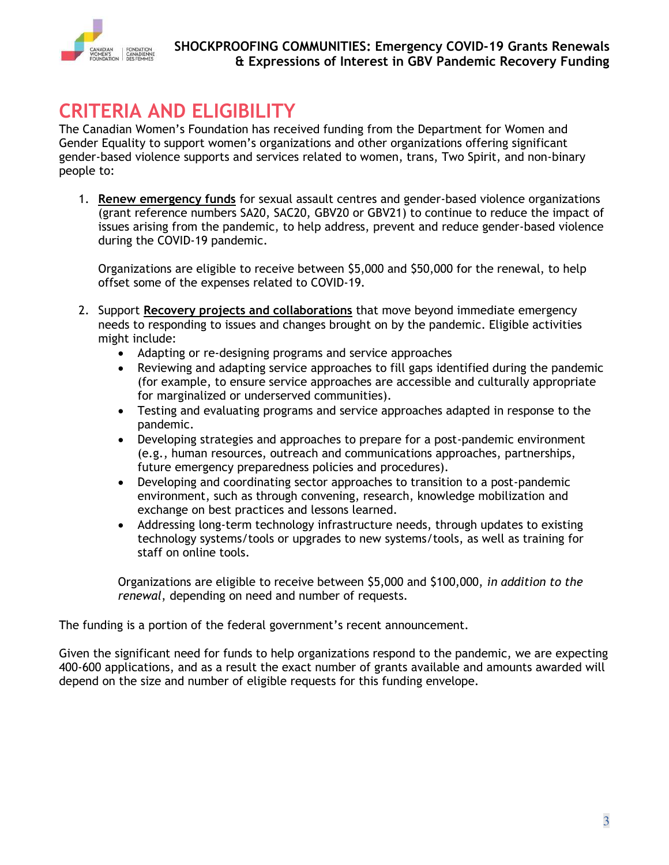

# **CRITERIA AND ELIGIBILITY**

The Canadian Women's Foundation has received funding from the Department for Women and Gender Equality to support women's organizations and other organizations offering significant gender-based violence supports and services related to women, trans, Two Spirit, and non-binary people to:

1. **Renew emergency funds** for sexual assault centres and gender-based violence organizations (grant reference numbers SA20, SAC20, GBV20 or GBV21) to continue to reduce the impact of issues arising from the pandemic, to help address, prevent and reduce gender-based violence during the COVID-19 pandemic.

Organizations are eligible to receive between \$5,000 and \$50,000 for the renewal, to help offset some of the expenses related to COVID-19.

- 2. Support **Recovery projects and collaborations** that move beyond immediate emergency needs to responding to issues and changes brought on by the pandemic. Eligible activities might include:
	- Adapting or re-designing programs and service approaches
	- Reviewing and adapting service approaches to fill gaps identified during the pandemic (for example, to ensure service approaches are accessible and culturally appropriate for marginalized or underserved communities).
	- Testing and evaluating programs and service approaches adapted in response to the pandemic.
	- Developing strategies and approaches to prepare for a post-pandemic environment (e.g., human resources, outreach and communications approaches, partnerships, future emergency preparedness policies and procedures).
	- Developing and coordinating sector approaches to transition to a post-pandemic environment, such as through convening, research, knowledge mobilization and exchange on best practices and lessons learned.
	- Addressing long-term technology infrastructure needs, through updates to existing technology systems/tools or upgrades to new systems/tools, as well as training for staff on online tools.

Organizations are eligible to receive between \$5,000 and \$100,000, *in addition to the renewal*, depending on need and number of requests.

The funding is a portion of the federal government's recent announcement.

Given the significant need for funds to help organizations respond to the pandemic, we are expecting 400-600 applications, and as a result the exact number of grants available and amounts awarded will depend on the size and number of eligible requests for this funding envelope.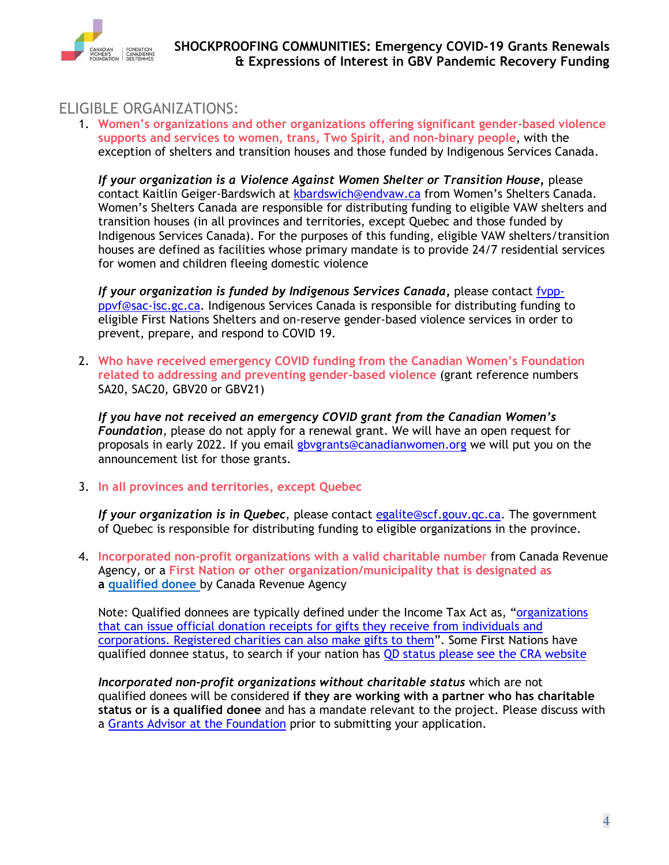

#### ELIGIBLE ORGANIZATIONS:

1. **Women's organizations and other organizations offering significant gender-based violence supports and services to women, trans, Two Spirit, and non-binary people**, with the exception of shelters and transition houses and those funded by Indigenous Services Canada.

*If your organization is a Violence Against Women Shelter or Transition House,* please contact Kaitlin Geiger-Bardswich at [kbardswich@endvaw.ca](mailto:kbardswich@endvaw.ca) from Women's Shelters Canada. Women's Shelters Canada are responsible for distributing funding to eligible VAW shelters and transition houses (in all provinces and territories, except Quebec and those funded by Indigenous Services Canada). For the purposes of this funding, eligible VAW shelters/transition houses are defined as facilities whose primary mandate is to provide 24/7 residential services for women and children fleeing domestic violence

*If your organization is funded by Indigenous Services Canada***,** please contact [fvpp](mailto:fvpp-ppvf@sac-isc.gc.ca)[ppvf@sac-isc.gc.ca.](mailto:fvpp-ppvf@sac-isc.gc.ca) Indigenous Services Canada is responsible for distributing funding to eligible First Nations Shelters and on-reserve gender-based violence services in order to prevent, prepare, and respond to COVID 19.

2. **Who have received emergency COVID funding from the Canadian Women's Foundation related to addressing and preventing gender-based violence** (grant reference numbers SA20, SAC20, GBV20 or GBV21)

*If you have not received an emergency COVID grant from the Canadian Women's Foundation*, please do not apply for a renewal grant. We will have an open request for proposals in early 2022. If you email [gbvgrants@canadianwomen.org](mailto:gbvgrants@canadianwomen.org) we will put you on the announcement list for those grants.

3. **In all provinces and territories, except Quebec**

*If your organization is in Quebec*, please contact [egalite@scf.gouv.qc.ca.](mailto:egalite@scf.gouv.qc.ca) The government of Quebec is responsible for distributing funding to eligible organizations in the province.

4. **Incorporated non-profit organizations with a valid charitable numbe**r from Canada Revenue Agency, or a **First Nation or other organization/municipality that is designated as a [qualified donee](https://www.canada.ca/en/revenue-agency/services/charities-giving/list-charities/list-charities-other-qualified-donees.html)** by Canada Revenue Agency

Note: Qualified donnees are typically defined under the Income Tax Act as, "[organizations](https://www.canada.ca/en/revenue-agency/services/charities-giving/charities/policies-guidance/qualified-donees.html)  [that can issue official donation receipts for gifts they receive from individuals and](https://www.canada.ca/en/revenue-agency/services/charities-giving/charities/policies-guidance/qualified-donees.html)  [corporations. Registered charities can also make gifts to them](https://www.canada.ca/en/revenue-agency/services/charities-giving/charities/policies-guidance/qualified-donees.html)". Some First Nations have qualified donnee status, to search if your nation has QD status please see the CRA website

*Incorporated non-profit organizations without charitable status* which are not qualified donees will be considered **if they are working with a partner who has charitable status or is a qualified donee** and has a mandate relevant to the project. Please discuss with a Grants Advisor at the Foundation prior to submitting your application.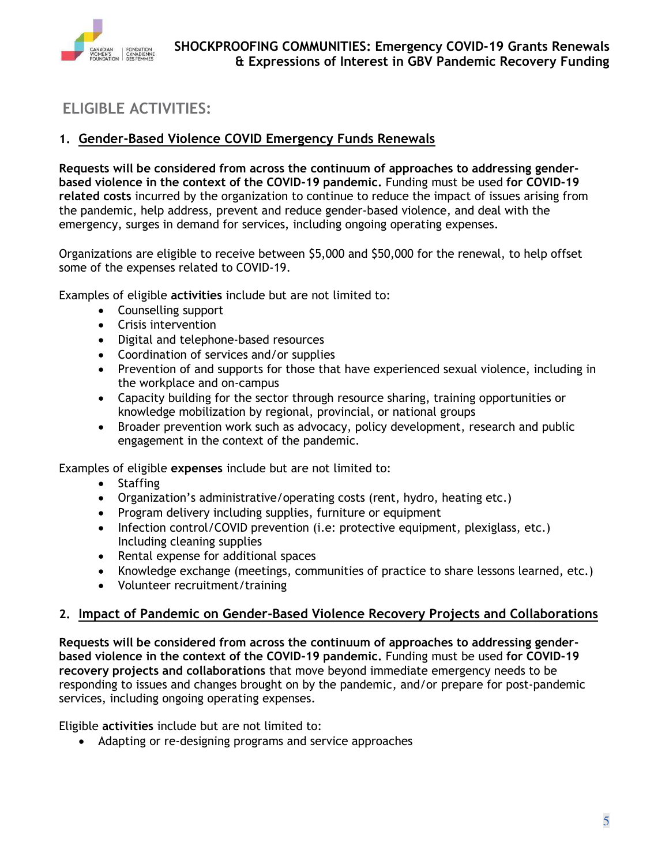

### **ELIGIBLE ACTIVITIES:**

#### **1. Gender-Based Violence COVID Emergency Funds Renewals**

**Requests will be considered from across the continuum of approaches to addressing genderbased violence in the context of the COVID-19 pandemic.** Funding must be used **for COVID-19 related costs** incurred by the organization to continue to reduce the impact of issues arising from the pandemic, help address, prevent and reduce gender-based violence, and deal with the emergency, surges in demand for services, including ongoing operating expenses.

Organizations are eligible to receive between \$5,000 and \$50,000 for the renewal, to help offset some of the expenses related to COVID-19.

Examples of eligible **activities** include but are not limited to:

- Counselling support
- Crisis intervention
- Digital and telephone-based resources
- Coordination of services and/or supplies
- Prevention of and supports for those that have experienced sexual violence, including in the workplace and on-campus
- Capacity building for the sector through resource sharing, training opportunities or knowledge mobilization by regional, provincial, or national groups
- Broader prevention work such as advocacy, policy development, research and public engagement in the context of the pandemic.

Examples of eligible **expenses** include but are not limited to:

- Staffing
- Organization's administrative/operating costs (rent, hydro, heating etc.)
- Program delivery including supplies, furniture or equipment
- Infection control/COVID prevention (i.e: protective equipment, plexiglass, etc.) Including cleaning supplies
- Rental expense for additional spaces
- Knowledge exchange (meetings, communities of practice to share lessons learned, etc.)
- Volunteer recruitment/training

#### **2. Impact of Pandemic on Gender-Based Violence Recovery Projects and Collaborations**

**Requests will be considered from across the continuum of approaches to addressing genderbased violence in the context of the COVID-19 pandemic.** Funding must be used **for COVID-19 recovery projects and collaborations** that move beyond immediate emergency needs to be responding to issues and changes brought on by the pandemic, and/or prepare for post-pandemic services, including ongoing operating expenses.

Eligible **activities** include but are not limited to:

• Adapting or re-designing programs and service approaches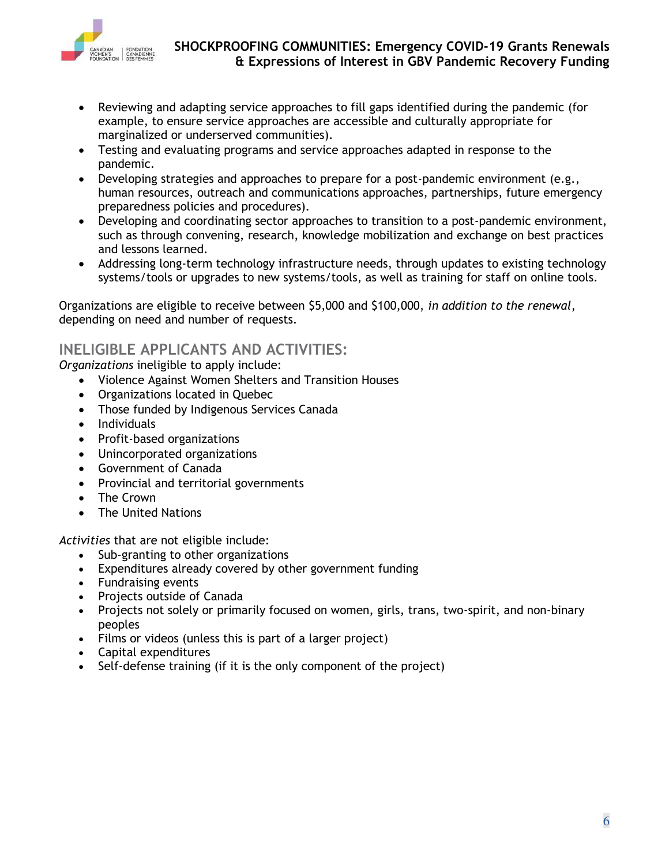

- Reviewing and adapting service approaches to fill gaps identified during the pandemic (for example, to ensure service approaches are accessible and culturally appropriate for marginalized or underserved communities).
- Testing and evaluating programs and service approaches adapted in response to the pandemic.
- Developing strategies and approaches to prepare for a post-pandemic environment (e.g., human resources, outreach and communications approaches, partnerships, future emergency preparedness policies and procedures).
- Developing and coordinating sector approaches to transition to a post-pandemic environment, such as through convening, research, knowledge mobilization and exchange on best practices and lessons learned.
- Addressing long-term technology infrastructure needs, through updates to existing technology systems/tools or upgrades to new systems/tools, as well as training for staff on online tools.

Organizations are eligible to receive between \$5,000 and \$100,000, *in addition to the renewal*, depending on need and number of requests.

#### **INELIGIBLE APPLICANTS AND ACTIVITIES:**

*Organizations* ineligible to apply include:

- Violence Against Women Shelters and Transition Houses
- Organizations located in Quebec
- Those funded by Indigenous Services Canada
- Individuals
- Profit-based organizations
- Unincorporated organizations
- Government of Canada
- Provincial and territorial governments
- The Crown
- The United Nations

*Activities* that are not eligible include:

- Sub-granting to other organizations
- Expenditures already covered by other government funding
- Fundraising events
- Projects outside of Canada
- Projects not solely or primarily focused on women, girls, trans, two-spirit, and non-binary peoples
- Films or videos (unless this is part of a larger project)
- Capital expenditures
- Self-defense training (if it is the only component of the project)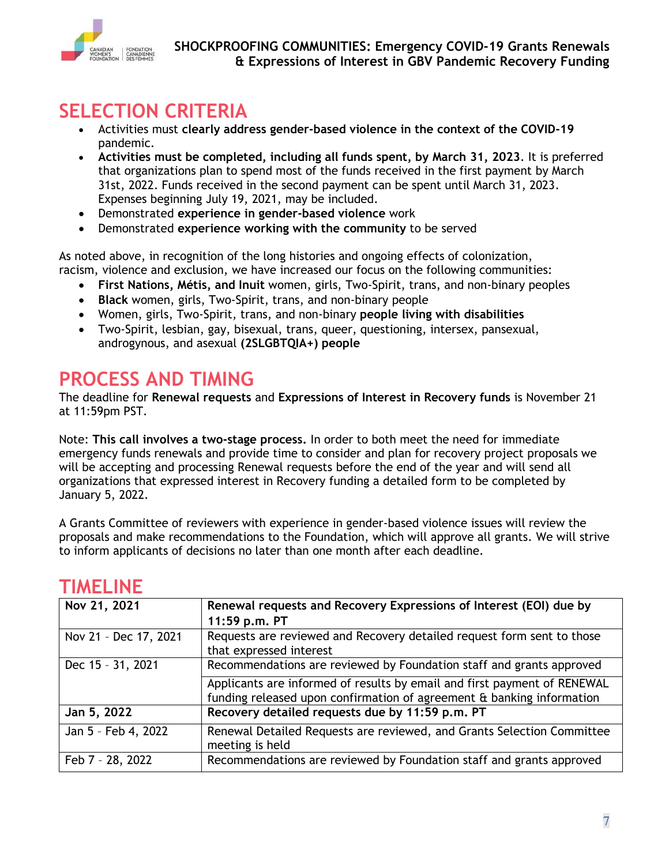

# **SELECTION CRITERIA**

- Activities must **clearly address gender-based violence in the context of the COVID-19** pandemic.
- **Activities must be completed, including all funds spent, by March 31, 2023**. It is preferred that organizations plan to spend most of the funds received in the first payment by March 31st, 2022. Funds received in the second payment can be spent until March 31, 2023. Expenses beginning July 19, 2021, may be included.
- Demonstrated **experience in gender-based violence** work
- Demonstrated **experience working with the community** to be served

As noted above, in recognition of the long histories and ongoing effects of colonization, racism, violence and exclusion, we have increased our focus on the following communities:

- **First Nations, Métis, and Inuit** women, girls, Two-Spirit, trans, and non-binary peoples
- **Black** women, girls, Two-Spirit, trans, and non-binary people
- Women, girls, Two-Spirit, trans, and non-binary **people living with disabilities**
- Two-Spirit, lesbian, gay, bisexual, trans, queer, questioning, intersex, pansexual, androgynous, and asexual **(2SLGBTQIA+) people**

# **PROCESS AND TIMING**

The deadline for **Renewal requests** and **Expressions of Interest in Recovery funds** is November 21 at 11:59pm PST.

Note: **This call involves a two-stage process.** In order to both meet the need for immediate emergency funds renewals and provide time to consider and plan for recovery project proposals we will be accepting and processing Renewal requests before the end of the year and will send all organizations that expressed interest in Recovery funding a detailed form to be completed by January 5, 2022.

A Grants Committee of reviewers with experience in gender-based violence issues will review the proposals and make recommendations to the Foundation, which will approve all grants. We will strive to inform applicants of decisions no later than one month after each deadline.

| Nov 21, 2021          | Renewal requests and Recovery Expressions of Interest (EOI) due by<br>11:59 p.m. PT                                                               |
|-----------------------|---------------------------------------------------------------------------------------------------------------------------------------------------|
| Nov 21 - Dec 17, 2021 | Requests are reviewed and Recovery detailed request form sent to those<br>that expressed interest                                                 |
| Dec 15 - 31, 2021     | Recommendations are reviewed by Foundation staff and grants approved                                                                              |
|                       | Applicants are informed of results by email and first payment of RENEWAL<br>funding released upon confirmation of agreement & banking information |
| Jan 5, 2022           | Recovery detailed requests due by 11:59 p.m. PT                                                                                                   |
| Jan 5 - Feb 4, 2022   | Renewal Detailed Requests are reviewed, and Grants Selection Committee<br>meeting is held                                                         |
| Feb 7 - 28, 2022      | Recommendations are reviewed by Foundation staff and grants approved                                                                              |

## **TIMELINE**